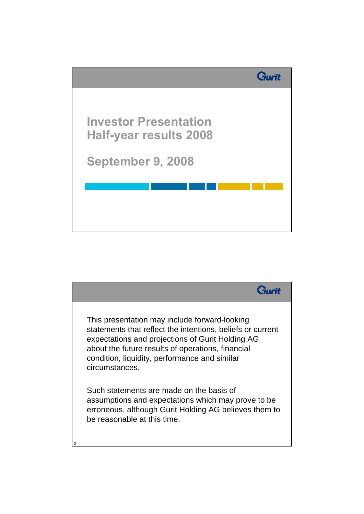

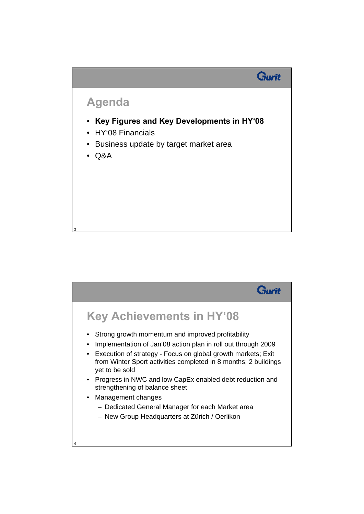## **Agenda**

• **Key Figures and Key Developments in HY'08**

**Gurit** 

- HY'08 Financials
- Business update by target market area
- Q&A

3

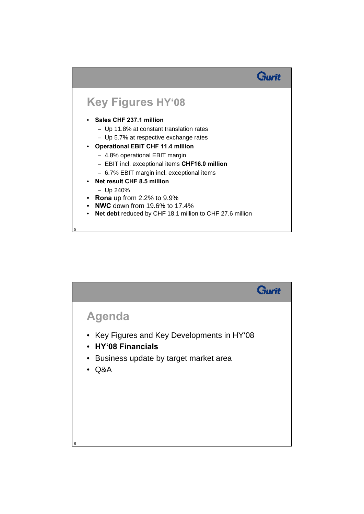

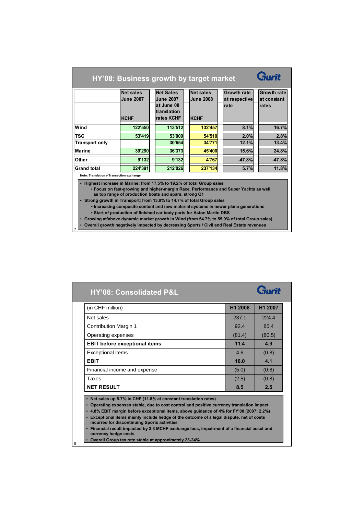| HY'08: Business growth by target market                                                                                                                                                                                                                                                                                                                                                                                                                                                                                                                                                                                                                            |                  |  |                  |  |                  |  |               |                    |
|--------------------------------------------------------------------------------------------------------------------------------------------------------------------------------------------------------------------------------------------------------------------------------------------------------------------------------------------------------------------------------------------------------------------------------------------------------------------------------------------------------------------------------------------------------------------------------------------------------------------------------------------------------------------|------------------|--|------------------|--|------------------|--|---------------|--------------------|
|                                                                                                                                                                                                                                                                                                                                                                                                                                                                                                                                                                                                                                                                    | <b>Net sales</b> |  | <b>Net Sales</b> |  | Net sales        |  | Growth rate   | <b>Growth rate</b> |
|                                                                                                                                                                                                                                                                                                                                                                                                                                                                                                                                                                                                                                                                    | <b>June 2007</b> |  | <b>June 2007</b> |  | <b>June 2008</b> |  | at respective | at constant        |
|                                                                                                                                                                                                                                                                                                                                                                                                                                                                                                                                                                                                                                                                    |                  |  | at June 08       |  |                  |  | rate          | rates              |
|                                                                                                                                                                                                                                                                                                                                                                                                                                                                                                                                                                                                                                                                    |                  |  | translation      |  |                  |  |               |                    |
|                                                                                                                                                                                                                                                                                                                                                                                                                                                                                                                                                                                                                                                                    | <b>KCHF</b>      |  | rates KCHF       |  | <b>KCHF</b>      |  |               |                    |
| Wind                                                                                                                                                                                                                                                                                                                                                                                                                                                                                                                                                                                                                                                               | 122'550          |  | 113'512          |  | 132'457          |  | 8.1%          | 16.7%              |
| <b>TSC</b>                                                                                                                                                                                                                                                                                                                                                                                                                                                                                                                                                                                                                                                         | 53'419           |  | 53'009           |  | 54'510           |  | 2.0%          | 2.8%               |
| <b>Transport only</b>                                                                                                                                                                                                                                                                                                                                                                                                                                                                                                                                                                                                                                              |                  |  | 30'654           |  | 34'771           |  | 12.1%         | 13.4%              |
| Marine                                                                                                                                                                                                                                                                                                                                                                                                                                                                                                                                                                                                                                                             | 39'290           |  | 36'373           |  | 45'400           |  | 15.6%         | 24.8%              |
| Other                                                                                                                                                                                                                                                                                                                                                                                                                                                                                                                                                                                                                                                              | 9'132            |  | 9'132            |  | 4'767            |  | $-47.8%$      | $-47.8%$           |
| <b>Grand total</b>                                                                                                                                                                                                                                                                                                                                                                                                                                                                                                                                                                                                                                                 | 224'391          |  | 212'026          |  | 237'134          |  | 5.7%          | 11.8%              |
| Note: Translation # Transaction exchange                                                                                                                                                                                                                                                                                                                                                                                                                                                                                                                                                                                                                           |                  |  |                  |  |                  |  |               |                    |
| • Highest increase in Marine; from 17.5% to 19.2% of total Group sales<br>• Focus on fast-growing and higher-margin Race, Performance and Super Yachts as well<br>as top range of production boats and spars, strong Q1<br>• Strong growth in Transport; from 13.8% to 14.7% of total Group sales<br>• Increasing composite content and new material systems in newer plane generations<br>. Start of production of finished car body parts for Aston Martin DBS<br>• Growing at/above dynamic market growth in Wind (from 54.7% to 55.9% of total Group sales)<br>• Overall growth negatively impacted by decreasing Sports / Civil and Real Estate revenues<br>7 |                  |  |                  |  |                  |  |               |                    |

| (in CHF million)                                                                                                                                                                                                                                                                                                                                                                                                                                                                                                                                | H <sub>1</sub> 2008 | H1 2007 |  |  |
|-------------------------------------------------------------------------------------------------------------------------------------------------------------------------------------------------------------------------------------------------------------------------------------------------------------------------------------------------------------------------------------------------------------------------------------------------------------------------------------------------------------------------------------------------|---------------------|---------|--|--|
| Net sales                                                                                                                                                                                                                                                                                                                                                                                                                                                                                                                                       | 237.1               | 224.4   |  |  |
| Contribution Margin 1                                                                                                                                                                                                                                                                                                                                                                                                                                                                                                                           | 92.4                | 85.4    |  |  |
| Operating expenses                                                                                                                                                                                                                                                                                                                                                                                                                                                                                                                              | (81.4)              | (80.5)  |  |  |
| <b>EBIT before exceptional items</b>                                                                                                                                                                                                                                                                                                                                                                                                                                                                                                            | 11.4                | 4.9     |  |  |
| <b>Exceptional items</b>                                                                                                                                                                                                                                                                                                                                                                                                                                                                                                                        | 4.6                 | (0.8)   |  |  |
| <b>EBIT</b>                                                                                                                                                                                                                                                                                                                                                                                                                                                                                                                                     | 16.0                | 4.1     |  |  |
| Financial income and expense                                                                                                                                                                                                                                                                                                                                                                                                                                                                                                                    | (5.0)               | (0.8)   |  |  |
| Taxes                                                                                                                                                                                                                                                                                                                                                                                                                                                                                                                                           | (2.5)               | (0.8)   |  |  |
| <b>NET RESULT</b>                                                                                                                                                                                                                                                                                                                                                                                                                                                                                                                               | 8.5                 | 2.5     |  |  |
| • Net sales up 5.7% in CHF (11.8% at constant translation rates)<br>Operating expenses stable, due to cost control and positive currency translation impact<br>$\bullet$<br>• 4.8% EBIT margin before exceptional items, above guidance of 4% for FY'08 (2007: 2.2%)<br>Exceptional items mainly include hedge of the outcome of a legal dispute, net of costs<br>$\bullet$<br>incurred for discontinuing Sports activities<br>Financial result impacted by 3.3 MCHF exchange loss, impairment of a financial asset and<br>currency hedge costs |                     |         |  |  |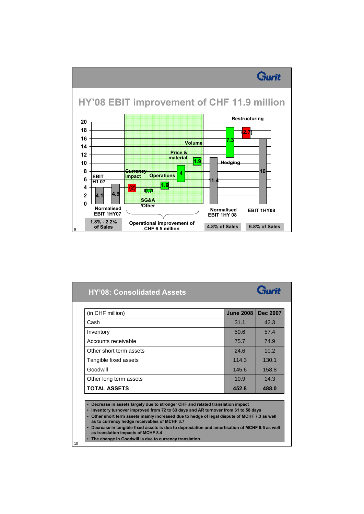

| Cash                    | 31.1  | 42.3  |
|-------------------------|-------|-------|
| Inventory               | 50.6  | 57.4  |
| Accounts receivable     | 75.7  | 74.9  |
| Other short term assets | 24.6  | 10.2  |
| Tangible fixed assets   | 114.3 | 130.1 |
| Goodwill                | 145.6 | 158.8 |
| Other long term assets  | 10.9  | 14.3  |
| <b>TOTAL ASSETS</b>     | 452.8 | 488.0 |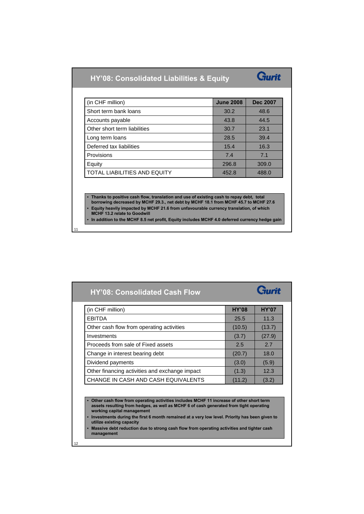| <b>HY'08: Consolidated Liabilities &amp; Equity</b> |  |
|-----------------------------------------------------|--|
|-----------------------------------------------------|--|



| (in CHF million)             | <b>June 2008</b> | <b>Dec 2007</b> |
|------------------------------|------------------|-----------------|
| Short term bank loans        | 30.2             | 48.6            |
| Accounts payable             | 43.8             | 44.5            |
| Other short term liabilities | 30.7             | 23.1            |
| Long term loans              | 28.5             | 39.4            |
| Deferred tax liabilities     | 15.4             | 16.3            |
| Provisions                   | 7.4              | 7 <sub>1</sub>  |
| Equity                       | 296.8            | 309.0           |
| TOTAL LIABILITIES AND EQUITY | 452.8            | 488.0           |

• **Thanks to positive cash flow, translation and use of existing cash to repay debt, total borrowing decreased by MCHF 29.3., net debt by MCHF 18.1 from MCHF 45.7 to MCHF 27.6**

• **Equity heavily impacted by MCHF 21.6 from unfavourable currency translation, of which** 

**MCHF 13.2 relate to Goodwill** 

11

12

• **In addition to the MCHF 8.5 net profit, Equity includes MCHF 4.0 deferred currency hedge gain**

| <b>HY'08: Consolidated Cash Flow</b>           |              | Gurit        |
|------------------------------------------------|--------------|--------------|
| (in CHF million)                               | <b>HY'08</b> | <b>HY'07</b> |
| <b>EBITDA</b>                                  | 25.5         | 11.3         |
| Other cash flow from operating activities      | (10.5)       | (13.7)       |
| Investments                                    | (3.7)        | (27.9)       |
| Proceeds from sale of Fixed assets             | 2.5          | 2.7          |
| Change in interest bearing debt                | (20.7)       | 18.0         |
| Dividend payments                              | (3.0)        | (5.9)        |
| Other financing activities and exchange impact | (1.3)        | 12.3         |
| CHANGE IN CASH AND CASH EQUIVALENTS            | (11.2)       | (3.2)        |

• **Other cash flow from operating activities includes MCHF 11 increase of other short term assets resulting from hedges, as well as MCHF 6 of cash generated from tight operating working capital management**

• **Investments during the first 6 month remained at a very low level. Priority has been given to utilize existing capacity**

• **Massive debt reduction due to strong cash flow from operating activities and tighter cash management**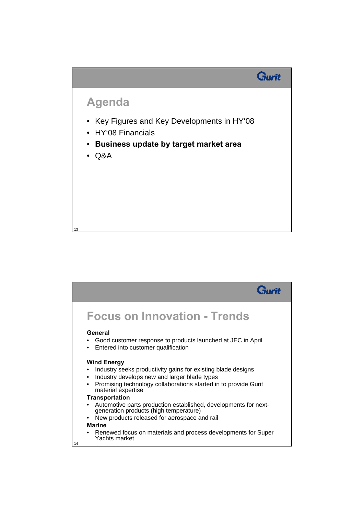

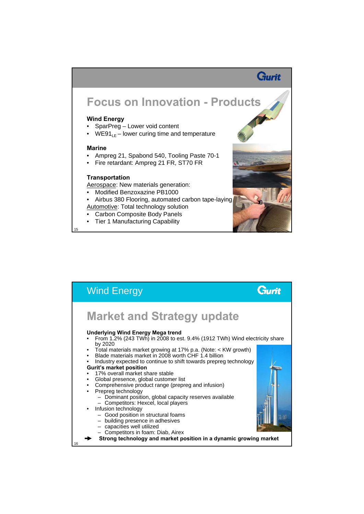## Gurit

# **Focus on Innovation - Products**

### **Wind Energy**

- SparPreg Lower void content
- WE91 $_{LE}$  lower curing time and temperature

#### **Marine**

15

- Ampreg 21, Spabond 540, Tooling Paste 70-1
- Fire retardant: Ampreg 21 FR, ST70 FR

#### **Transportation**

Aerospace: New materials generation:

- Modified Benzoxazine PB1000
- Airbus 380 Flooring, automated carbon tape-laying Automotive: Total technology solution
- Carbon Composite Body Panels
- Tier 1 Manufacturing Capability



| <b>Wind Energy</b>                                                                                                                                                                                                                                                                                                                                                                                          |  |
|-------------------------------------------------------------------------------------------------------------------------------------------------------------------------------------------------------------------------------------------------------------------------------------------------------------------------------------------------------------------------------------------------------------|--|
| <b>Market and Strategy update</b><br><b>Underlying Wind Energy Mega trend</b><br>From 1.2% (243 TWh) in 2008 to est. 9.4% (1912 TWh) Wind electricity share                                                                                                                                                                                                                                                 |  |
| by 2020<br>• Total materials market growing at 17% p.a. (Note: $\lt$ KW growth)<br>Blade materials market in 2008 worth CHF 1.4 billion<br>Industry expected to continue to shift towards prepreg technology<br><b>Gurit's market position</b><br>17% overall market share stable<br>Global presence, global customer list<br>٠<br>Comprehensive product range (prepreg and infusion)<br>Prepreg technology |  |
| - Dominant position, global capacity reserves available<br>- Competitors: Hexcel, local players<br>Infusion technology<br>$\bullet$<br>- Good position in structural foams<br>- building presence in adhesives<br>- capacities well utilized<br>- Competitors in foam: Diab, Airex<br>Strong technology and market position in a dynamic growing market                                                     |  |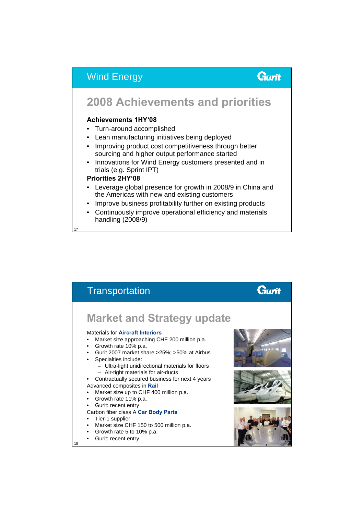### Wind Energy

### Gurit

## **2008 Achievements and priorities**

### **Achievements 1HY'08**

- Turn-around accomplished
- Lean manufacturing initiatives being deployed
- Improving product cost competitiveness through better sourcing and higher output performance started
- Innovations for Wind Energy customers presented and in trials (e.g. Sprint IPT)

### **Priorities 2HY'08**

17

18

- Leverage global presence for growth in 2008/9 in China and the Americas with new and existing customers
- Improve business profitability further on existing products
- Continuously improve operational efficiency and materials handling (2008/9)

**Transportation** Gurit **Market and Strategy update** Materials for **Aircraft Interiors** • Market size approaching CHF 200 million p.a. • Growth rate 10% p.a. • Gurit 2007 market share >25%; >50% at Airbus Specialties include: – Ultra-light unidirectional materials for floors – Air-tight materials for air-ducts • Contractually secured business for next 4 years Advanced composites in **Rail** • Market size up to CHF 400 million p.a. • Growth rate 11% p.a. Gurit: recent entry Carbon fiber class A **Car Body Parts** Tier-1 supplier Market size CHF 150 to 500 million p.a. • Growth rate 5 to 10% p.a. Gurit: recent entry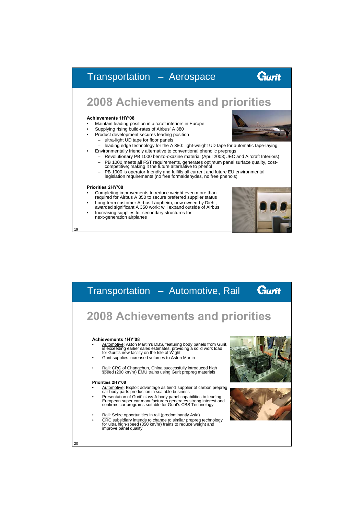### Gurit Transportation – Aerospace **2008 Achievements and priorities Achievements 1HY'08** • Maintain leading position in aircraft interiors in Europe • Supplying rising build-rates of Airbus' A 380 • Product development secures leading position – ultra-light UD tape for floor panels – leading edge technology for the A 380: light-weight UD tape for automatic tape-laying • Environmentally friendly alternative to conventional phenolic prepregs – Revolutionary PB 1000 benzo-oxazine material (April 2008; JEC and Aircraft Interiors) – PB 1000 meets all FST requirements, generates optimum panel surface quality, cost-competitive; making it the future alternative to phenol – PB 1000 is operator-friendly and fulfills all current and future EU environmental legislation requirements (no free formaldehydes, no free phenols) **Priorities 2HY'08** • Completing improvements to reduce weight even more than required for Airbus A 350 to secure preferred supplier status • Long-term customer Airbus Laupheim, now owned by Diehl, awarded significant A 350 work; will expand outside of Airbus Increasing supplies for secondary structures for next-generation airplanes

19

| Gurit<br>Transportation - Automotive, Rail                                                                                                                                                                                                                                                                                                                                                                                                                                                                                                    |
|-----------------------------------------------------------------------------------------------------------------------------------------------------------------------------------------------------------------------------------------------------------------------------------------------------------------------------------------------------------------------------------------------------------------------------------------------------------------------------------------------------------------------------------------------|
| <b>2008 Achievements and priorities</b>                                                                                                                                                                                                                                                                                                                                                                                                                                                                                                       |
| <b>Achievements 1HY'08</b><br>Automotive: Aston Martin's DBS, featuring body panels from Gurit, is exceeding earlier sales estimates, providing a solid work load for Gurit's new facility on the Isle of Wight<br>Gurit supplies increased volumes to Aston Martin<br>Rail: CRC of Changchun, China successfully introduced high<br>speed (200 km/hr) EMU trains using Gurit prepreg materials<br><b>Priorities 2HY'08</b>                                                                                                                   |
| Automotive: Exploit advantage as tier-1 supplier of carbon prepreg<br>car body parts production in scalable business<br>Presentation of Gurit' class A body panel capabilities to leading<br>European super car manufacturers generates strong interest and<br>confirms car programs suitable for Gurit's CBS Technology<br>Rail: Seize opportunities in rail (predominantly Asia)<br>CRC subsidiary intends to change to similar prepreg technology<br>for ultra high-speed (350 km/hr) trains to reduce weight and<br>improve panel quality |
| 20                                                                                                                                                                                                                                                                                                                                                                                                                                                                                                                                            |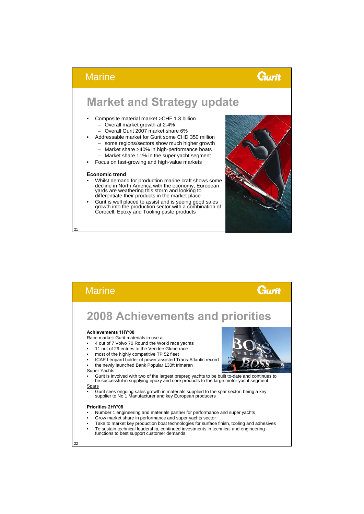### Gurit

## **Market and Strategy update**

- Composite material market >CHF 1.3 billion – Overall market growth at 2-4%
	- Overall Gurit 2007 market share 6%
- Addressable market for Gurit some CHD 350 million
	- some regions/sectors show much higher growth
	- Market share >40% in high-performance boats
	- Market share 11% in the super yacht segment
- Focus on fast-growing and high-value markets

#### **Economic trend**

21

22

**Marine** 

- Whilst demand for production marine craft shows some decline in North America with the economy, European yards are weathering this storm and looking to differentiate their products in the market place
- Gurit is well placed to assist and is seeing good sales growth into the production sector with a combination of Corecell, Epoxy and Tooling paste products



| <b>Marine</b>                                                                                                                                                                                                                                                                                                                                                                                                 |  |
|---------------------------------------------------------------------------------------------------------------------------------------------------------------------------------------------------------------------------------------------------------------------------------------------------------------------------------------------------------------------------------------------------------------|--|
| <b>2008 Achievements and priorities</b>                                                                                                                                                                                                                                                                                                                                                                       |  |
| <b>Achievements 1HY'08</b><br>Race market: Gurit materials in use at<br>4 out of 7 Volvo 70 Round the World race yachts<br>11 out of 29 entries to the Vendee Globe race<br>٠<br>most of the highly competitive TP 52 fleet<br>٠<br>ICAP Leopard holder of power assisted Trans-Atlantic record<br>٠<br>the newly launched Bank Popular 130ft trimaran<br>Super Yachts                                        |  |
| Gurit is involved with two of the largest prepreg yachts to be built to-date and continues to<br>be successful in supplying epoxy and core products to the large motor yacht segment<br>Spars<br>Gurit sees ongoing sales growth in materials supplied to the spar sector, being a key<br>supplier to No 1 Manufacturer and key European producers                                                            |  |
| Priorities 2HY'08<br>Number 1 engineering and materials partner for performance and super yachts<br>Grow market share in performance and super yachts sector<br>٠<br>Take to market key production boat technologies for surface finish, tooling and adhesives<br>٠<br>To sustain technical leadership, continued investments in technical and engineering<br>٠<br>functions to best support customer demands |  |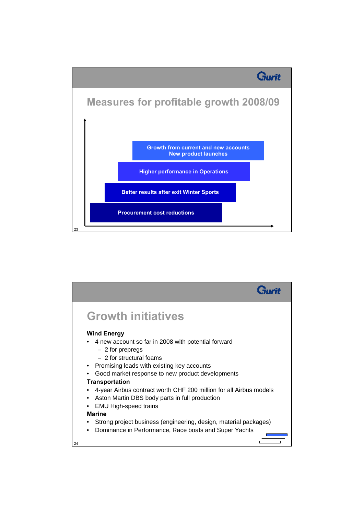

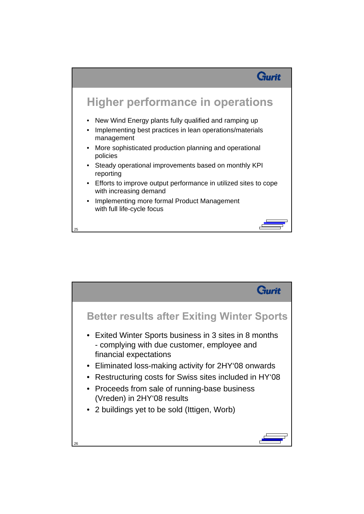

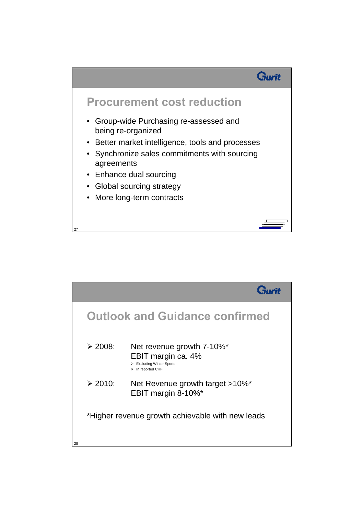